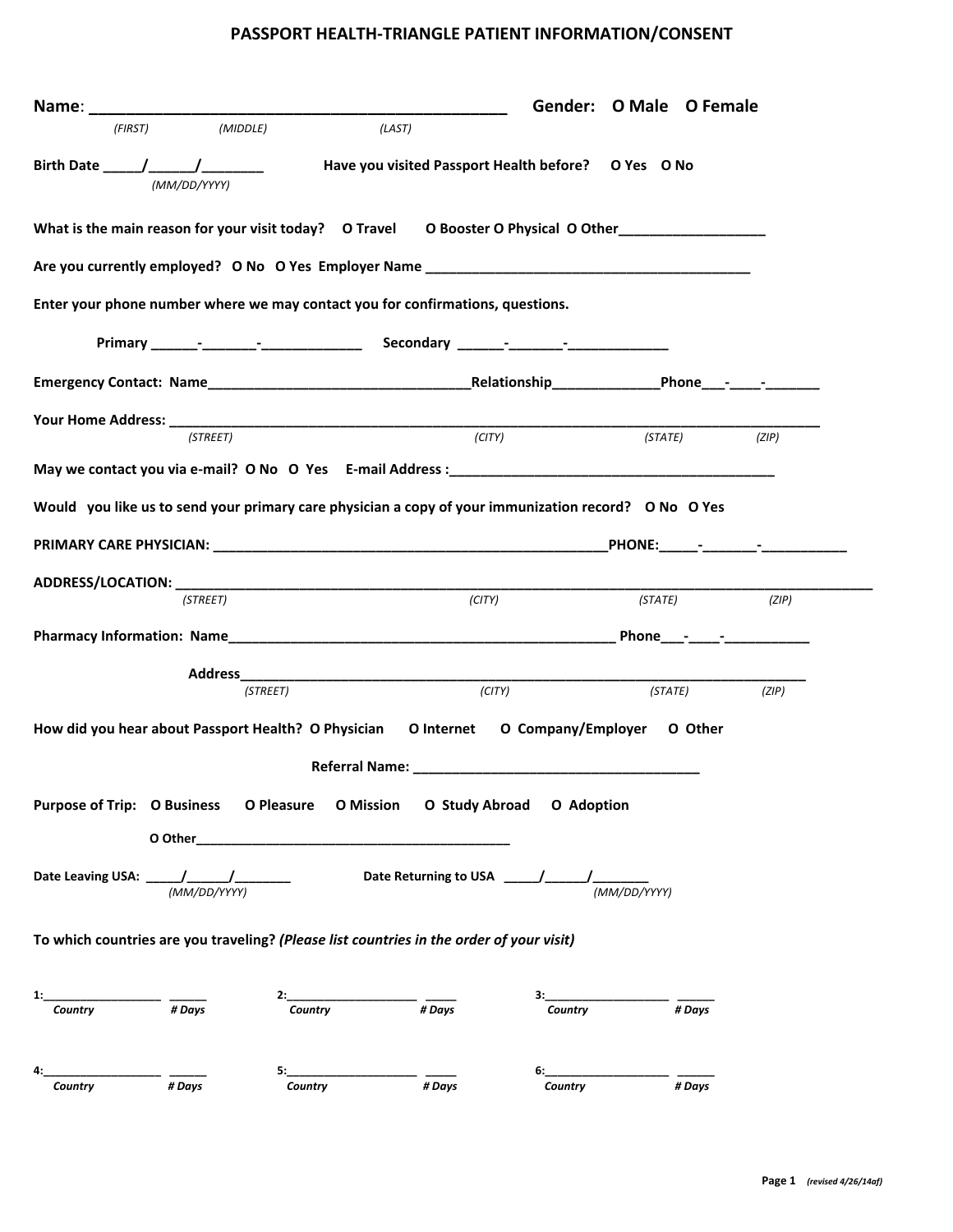## PASSPORT HEALTH-TRIANGLE PATIENT INFORMATION/CONSENT

| Name: and the state of the state of the state of the state of the state of the state of the state of the state of the state of the state of the state of the state of the state of the state of the state of the state of the |              |                                                                                                                                                                                                                                |                                                     | Gender: O Male O Female                                       |         |       |
|-------------------------------------------------------------------------------------------------------------------------------------------------------------------------------------------------------------------------------|--------------|--------------------------------------------------------------------------------------------------------------------------------------------------------------------------------------------------------------------------------|-----------------------------------------------------|---------------------------------------------------------------|---------|-------|
| (FIRST)                                                                                                                                                                                                                       | (MIDDLE)     | (LAST)                                                                                                                                                                                                                         |                                                     |                                                               |         |       |
|                                                                                                                                                                                                                               | (MM/DD/YYYY) |                                                                                                                                                                                                                                | Have you visited Passport Health before? O Yes O No |                                                               |         |       |
| What is the main reason for your visit today? O Travel O Booster O Physical O Other ________________                                                                                                                          |              |                                                                                                                                                                                                                                |                                                     |                                                               |         |       |
|                                                                                                                                                                                                                               |              |                                                                                                                                                                                                                                |                                                     |                                                               |         |       |
| Enter your phone number where we may contact you for confirmations, questions.                                                                                                                                                |              |                                                                                                                                                                                                                                |                                                     |                                                               |         |       |
|                                                                                                                                                                                                                               |              |                                                                                                                                                                                                                                |                                                     |                                                               |         |       |
|                                                                                                                                                                                                                               |              |                                                                                                                                                                                                                                |                                                     |                                                               |         |       |
|                                                                                                                                                                                                                               |              |                                                                                                                                                                                                                                |                                                     |                                                               |         |       |
|                                                                                                                                                                                                                               | (STREET)     |                                                                                                                                                                                                                                | $\frac{1}{\sqrt{C(TY)}}$                            | (STATE)                                                       |         | (ZIP) |
|                                                                                                                                                                                                                               |              |                                                                                                                                                                                                                                |                                                     |                                                               |         |       |
| Would you like us to send your primary care physician a copy of your immunization record? O No O Yes                                                                                                                          |              |                                                                                                                                                                                                                                |                                                     |                                                               |         |       |
|                                                                                                                                                                                                                               |              |                                                                                                                                                                                                                                |                                                     |                                                               |         |       |
|                                                                                                                                                                                                                               |              |                                                                                                                                                                                                                                |                                                     |                                                               |         |       |
|                                                                                                                                                                                                                               | (STREET)     |                                                                                                                                                                                                                                | (CITY)                                              | (STATE)                                                       |         | (ZIP) |
|                                                                                                                                                                                                                               |              |                                                                                                                                                                                                                                |                                                     |                                                               |         |       |
|                                                                                                                                                                                                                               |              |                                                                                                                                                                                                                                |                                                     |                                                               |         |       |
|                                                                                                                                                                                                                               |              |                                                                                                                                                                                                                                |                                                     |                                                               |         |       |
|                                                                                                                                                                                                                               | (STREET)     |                                                                                                                                                                                                                                | (CITY)                                              |                                                               | (STATE) | (ZIP) |
| How did you hear about Passport Health? O Physician O Internet O Company/Employer O Other                                                                                                                                     |              |                                                                                                                                                                                                                                |                                                     |                                                               |         |       |
|                                                                                                                                                                                                                               |              |                                                                                                                                                                                                                                |                                                     |                                                               |         |       |
| Purpose of Trip: O Business O Pleasure O Mission O Study Abroad O Adoption                                                                                                                                                    |              |                                                                                                                                                                                                                                |                                                     |                                                               |         |       |
|                                                                                                                                                                                                                               |              | O Other and the contract of the contract of the contract of the contract of the contract of the contract of the contract of the contract of the contract of the contract of the contract of the contract of the contract of th |                                                     |                                                               |         |       |
|                                                                                                                                                                                                                               |              |                                                                                                                                                                                                                                |                                                     |                                                               |         |       |
|                                                                                                                                                                                                                               |              |                                                                                                                                                                                                                                |                                                     |                                                               |         |       |
| To which countries are you traveling? (Please list countries in the order of your visit)                                                                                                                                      |              |                                                                                                                                                                                                                                |                                                     |                                                               |         |       |
| 1: $\frac{1}{\text{Country}}$ $\frac{1}{\text{H} \text{ Days}}$                                                                                                                                                               |              | $2:$ Country # Days                                                                                                                                                                                                            |                                                     | $\frac{3:}{\text{Country}}$ $\frac{1}{\text{H} \text{ Days}}$ |         |       |
| $\frac{1}{\# \text{Days}}$                                                                                                                                                                                                    |              | $5:$ Country $\overline{47}$ Days                                                                                                                                                                                              |                                                     | 6: Country # Days                                             |         |       |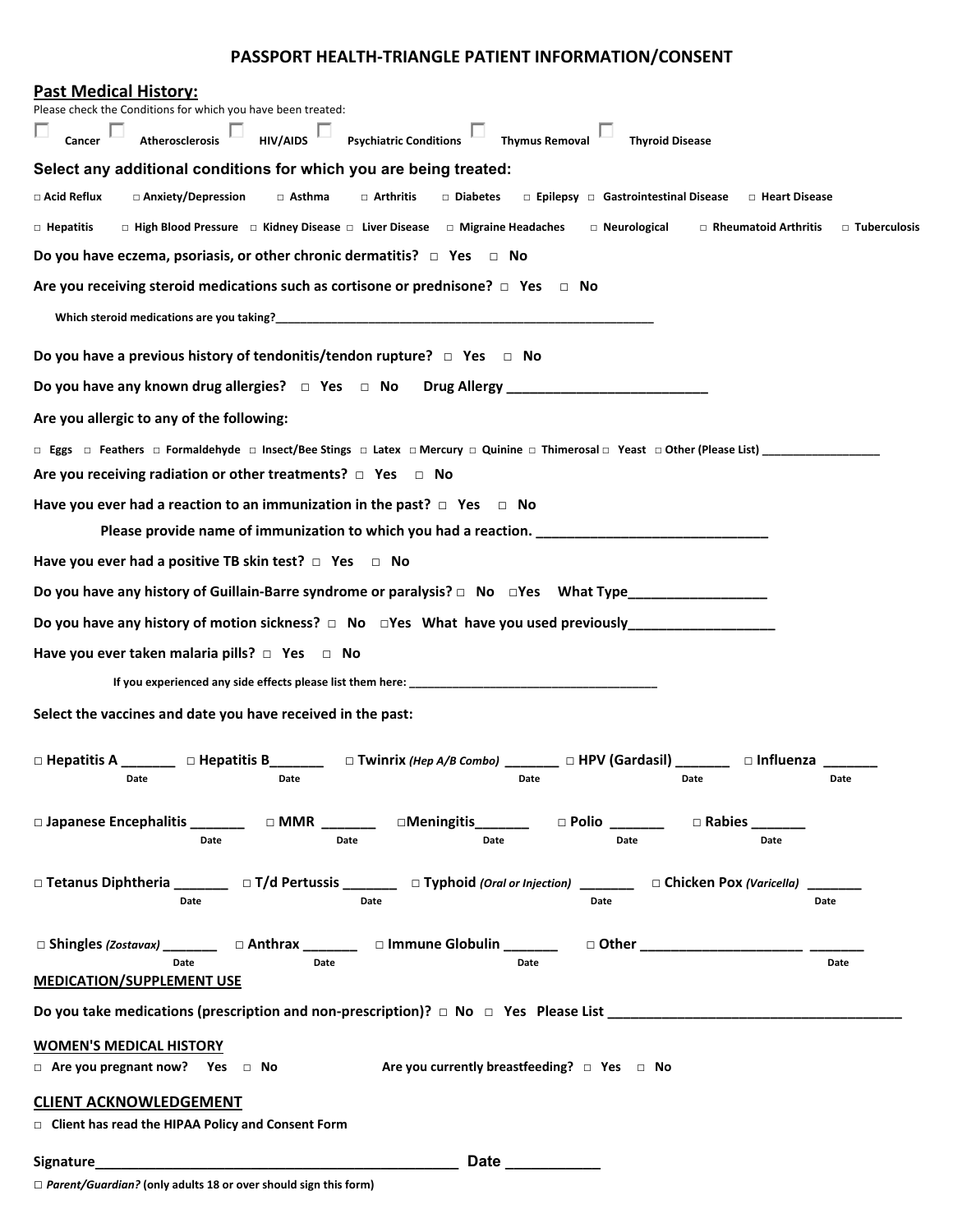## PASSPORT HEALTH-TRIANGLE PATIENT INFORMATION/CONSENT

| <b>Past Medical History:</b>                                                                                                                                                                                                            |                |
|-----------------------------------------------------------------------------------------------------------------------------------------------------------------------------------------------------------------------------------------|----------------|
| Please check the Conditions for which you have been treated:<br>$\boxed{\phantom{\text{S}}\hspace{-0.2cm}}$ Psychiatric Conditions $\phantom{\text{S}}\qquad\qquad$ Thymus Removal<br>$\Box$ Cancer $\Box$<br>$\Box$<br>Atherosclerosis |                |
| HIV/AIDS<br><b>Thyroid Disease</b>                                                                                                                                                                                                      |                |
| Select any additional conditions for which you are being treated:                                                                                                                                                                       |                |
| □ Acid Reflux<br>□ Anxiety/Depression<br>□ Asthma<br>□ Diabetes<br>□ Epilepsy □ Gastrointestinal Disease<br>$\Box$ Arthritis<br>□ Heart Disease                                                                                         |                |
| $\Box$ High Blood Pressure $\Box$ Kidney Disease $\Box$ Liver Disease $\Box$ Migraine Headaches<br>□ Neurological<br>Rheumatoid Arthritis<br>$\Box$ Hepatitis                                                                           | □ Tuberculosis |
| Do you have eczema, psoriasis, or other chronic dermatitis? $\Box$ Yes $\Box$ No                                                                                                                                                        |                |
| Are you receiving steroid medications such as cortisone or prednisone? $\Box$ Yes $\Box$ No                                                                                                                                             |                |
|                                                                                                                                                                                                                                         |                |
| Do you have a previous history of tendonitis/tendon rupture? $\Box$ Yes $\Box$ No                                                                                                                                                       |                |
| Do you have any known drug allergies? □ Yes □ No Drug Allergy _________________________                                                                                                                                                 |                |
| Are you allergic to any of the following:                                                                                                                                                                                               |                |
|                                                                                                                                                                                                                                         |                |
| Are you receiving radiation or other treatments? $\Box$ Yes $\Box$ No                                                                                                                                                                   |                |
| Have you ever had a reaction to an immunization in the past? $\Box$ Yes $\Box$ No                                                                                                                                                       |                |
| Please provide name of immunization to which you had a reaction. ___________________________________                                                                                                                                    |                |
| Have you ever had a positive TB skin test? $\Box$ Yes $\Box$ No                                                                                                                                                                         |                |
| Do you have any history of Guillain-Barre syndrome or paralysis? □ No □Yes What Type_______________                                                                                                                                     |                |
|                                                                                                                                                                                                                                         |                |
| Have you ever taken malaria pills? $\Box$ Yes $\Box$ No                                                                                                                                                                                 |                |
|                                                                                                                                                                                                                                         |                |
|                                                                                                                                                                                                                                         |                |
| Select the vaccines and date you have received in the past:                                                                                                                                                                             |                |
| □ Hepatitis A _______ □ Hepatitis B______ □ Twinrix (Hep A/B Combo) ______ □ HPV (Gardasil) ______ □ Influenza ___                                                                                                                      |                |
| Date <b>Date</b> Date <b>Date</b> Date <b>Date</b><br><b>Example 12 Date</b><br><b>Date</b>                                                                                                                                             | Date           |
| □ Japanese Encephalitis _________  □ MMR _________  □Meningitis_________  □ Polio ________<br>$\square$ Rabies _______                                                                                                                  |                |
| Date<br>Date<br>Date<br>Date<br>Date                                                                                                                                                                                                    |                |
|                                                                                                                                                                                                                                         |                |
| □ Tetanus Diphtheria ________ □ T/d Pertussis _______ □ Typhoid (Oral or Injection) _______ □ Chicken Pox (Varicella) __<br>Date<br>Date<br>Date<br>Date                                                                                |                |
|                                                                                                                                                                                                                                         |                |
| □ Shingles (Zostavax) __________ □ Anthrax _________ □ Immune Globulin ________<br>□ Other _______________________<br>Date<br>Date<br>Date                                                                                              | <b>Date</b>    |
| <b>MEDICATION/SUPPLEMENT USE</b>                                                                                                                                                                                                        |                |
| Do you take medications (prescription and non-prescription)? $\Box$ No $\Box$ Yes Please List $\Box$                                                                                                                                    |                |
| <b>WOMEN'S MEDICAL HISTORY</b>                                                                                                                                                                                                          |                |
| Are you currently breastfeeding? $\Box$ Yes $\Box$ No<br>$\Box$ Are you pregnant now? Yes $\Box$ No                                                                                                                                     |                |
| <b>CLIENT ACKNOWLEDGEMENT</b>                                                                                                                                                                                                           |                |
| $\Box$ Client has read the HIPAA Policy and Consent Form                                                                                                                                                                                |                |
| Signature____<br>Date __________                                                                                                                                                                                                        |                |
|                                                                                                                                                                                                                                         |                |